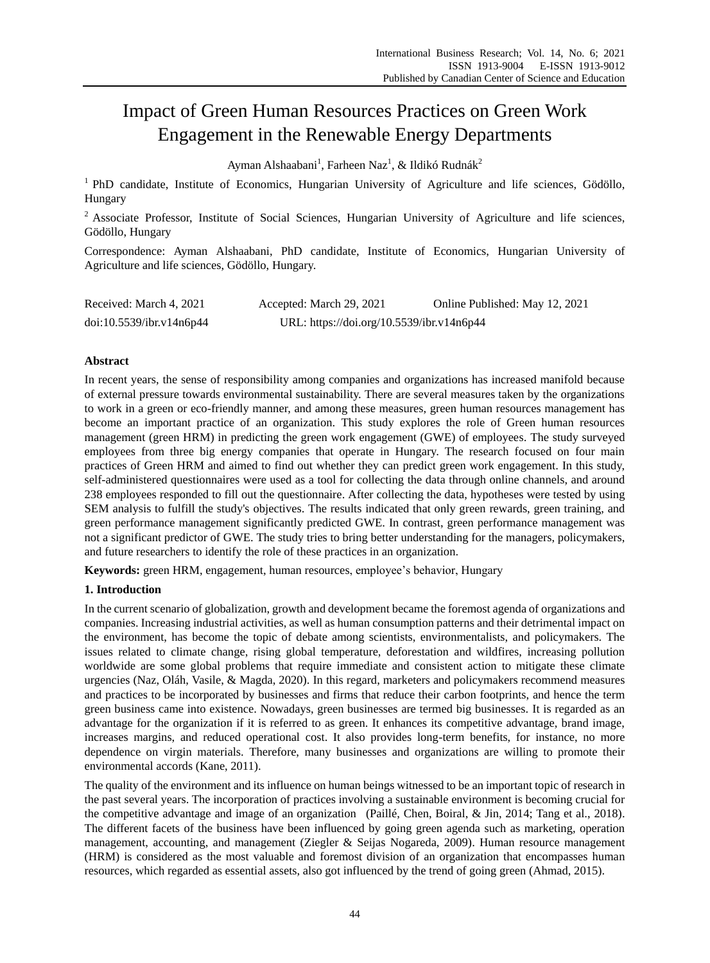# Impact of Green Human Resources Practices on Green Work Engagement in the Renewable Energy Departments

Ayman Alshaabani<sup>1</sup>, Farheen Naz<sup>1</sup>, & Ildik ó Rudn ák<sup>2</sup>

<sup>1</sup> PhD candidate, Institute of Economics, Hungarian University of Agriculture and life sciences, Gödöllo, Hungary

<sup>2</sup> Associate Professor, Institute of Social Sciences, Hungarian University of Agriculture and life sciences, Gödöllo, Hungary

Correspondence: Ayman Alshaabani, PhD candidate, Institute of Economics, Hungarian University of Agriculture and life sciences, Gödöllo, Hungary.

| Received: March 4, 2021  | Accepted: March 29, 2021                  | Online Published: May 12, 2021 |
|--------------------------|-------------------------------------------|--------------------------------|
| doi:10.5539/ibr.v14n6p44 | URL: https://doi.org/10.5539/ibr.v14n6p44 |                                |

# **Abstract**

In recent years, the sense of responsibility among companies and organizations has increased manifold because of external pressure towards environmental sustainability. There are several measures taken by the organizations to work in a green or eco-friendly manner, and among these measures, green human resources management has become an important practice of an organization. This study explores the role of Green human resources management (green HRM) in predicting the green work engagement (GWE) of employees. The study surveyed employees from three big energy companies that operate in Hungary. The research focused on four main practices of Green HRM and aimed to find out whether they can predict green work engagement. In this study, self-administered questionnaires were used as a tool for collecting the data through online channels, and around 238 employees responded to fill out the questionnaire. After collecting the data, hypotheses were tested by using SEM analysis to fulfill the study's objectives. The results indicated that only green rewards, green training, and green performance management significantly predicted GWE. In contrast, green performance management was not a significant predictor of GWE. The study tries to bring better understanding for the managers, policymakers, and future researchers to identify the role of these practices in an organization.

**Keywords:** green HRM, engagement, human resources, employee's behavior, Hungary

# **1. Introduction**

In the current scenario of globalization, growth and development became the foremost agenda of organizations and companies. Increasing industrial activities, as well as human consumption patterns and their detrimental impact on the environment, has become the topic of debate among scientists, environmentalists, and policymakers. The issues related to climate change, rising global temperature, deforestation and wildfires, increasing pollution worldwide are some global problems that require immediate and consistent action to mitigate these climate urgencies (Naz, Oláh, Vasile, & Magda, 2020). In this regard, marketers and policymakers recommend measures and practices to be incorporated by businesses and firms that reduce their carbon footprints, and hence the term green business came into existence. Nowadays, green businesses are termed big businesses. It is regarded as an advantage for the organization if it is referred to as green. It enhances its competitive advantage, brand image, increases margins, and reduced operational cost. It also provides long-term benefits, for instance, no more dependence on virgin materials. Therefore, many businesses and organizations are willing to promote their environmental accords (Kane, 2011).

The quality of the environment and its influence on human beings witnessed to be an important topic of research in the past several years. The incorporation of practices involving a sustainable environment is becoming crucial for the competitive advantage and image of an organization (Paillé, Chen, Boiral, & Jin, 2014; Tang et al., 2018). The different facets of the business have been influenced by going green agenda such as marketing, operation management, accounting, and management (Ziegler & Seijas Nogareda, 2009). Human resource management (HRM) is considered as the most valuable and foremost division of an organization that encompasses human resources, which regarded as essential assets, also got influenced by the trend of going green (Ahmad, 2015).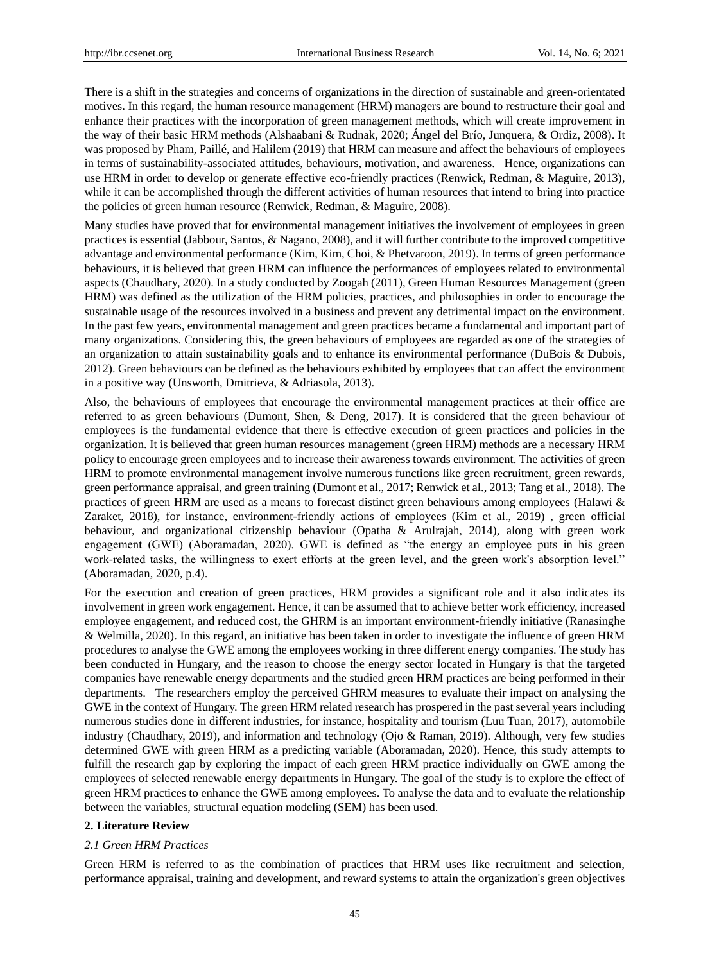There is a shift in the strategies and concerns of organizations in the direction of sustainable and green-orientated motives. In this regard, the human resource management (HRM) managers are bound to restructure their goal and enhance their practices with the incorporation of green management methods, which will create improvement in the way of their basic HRM methods (Alshaabani & Rudnak, 2020; Ángel del Br ó, Junquera, & Ordiz, 2008). It was proposed by Pham, Paillé, and Halilem (2019) that HRM can measure and affect the behaviours of employees in terms of sustainability-associated attitudes, behaviours, motivation, and awareness. Hence, organizations can use HRM in order to develop or generate effective eco-friendly practices (Renwick, Redman, & Maguire, 2013), while it can be accomplished through the different activities of human resources that intend to bring into practice the policies of green human resource (Renwick, Redman, & Maguire, 2008).

Many studies have proved that for environmental management initiatives the involvement of employees in green practices is essential (Jabbour, Santos, & Nagano, 2008), and it will further contribute to the improved competitive advantage and environmental performance (Kim, Kim, Choi, & Phetvaroon, 2019). In terms of green performance behaviours, it is believed that green HRM can influence the performances of employees related to environmental aspects (Chaudhary, 2020). In a study conducted by Zoogah (2011), Green Human Resources Management (green HRM) was defined as the utilization of the HRM policies, practices, and philosophies in order to encourage the sustainable usage of the resources involved in a business and prevent any detrimental impact on the environment. In the past few years, environmental management and green practices became a fundamental and important part of many organizations. Considering this, the green behaviours of employees are regarded as one of the strategies of an organization to attain sustainability goals and to enhance its environmental performance (DuBois & Dubois, 2012). Green behaviours can be defined as the behaviours exhibited by employees that can affect the environment in a positive way (Unsworth, Dmitrieva, & Adriasola, 2013).

Also, the behaviours of employees that encourage the environmental management practices at their office are referred to as green behaviours (Dumont, Shen, & Deng, 2017). It is considered that the green behaviour of employees is the fundamental evidence that there is effective execution of green practices and policies in the organization. It is believed that green human resources management (green HRM) methods are a necessary HRM policy to encourage green employees and to increase their awareness towards environment. The activities of green HRM to promote environmental management involve numerous functions like green recruitment, green rewards, green performance appraisal, and green training (Dumont et al., 2017; Renwick et al., 2013; Tang et al., 2018). The practices of green HRM are used as a means to forecast distinct green behaviours among employees (Halawi & Zaraket, 2018), for instance, environment-friendly actions of employees (Kim et al., 2019) , green official behaviour, and organizational citizenship behaviour (Opatha & Arulrajah, 2014), along with green work engagement (GWE) (Aboramadan, 2020). GWE is defined as "the energy an employee puts in his green work-related tasks, the willingness to exert efforts at the green level, and the green work's absorption level." (Aboramadan, 2020, p.4).

For the execution and creation of green practices, HRM provides a significant role and it also indicates its involvement in green work engagement. Hence, it can be assumed that to achieve better work efficiency, increased employee engagement, and reduced cost, the GHRM is an important environment-friendly initiative (Ranasinghe & Welmilla, 2020). In this regard, an initiative has been taken in order to investigate the influence of green HRM procedures to analyse the GWE among the employees working in three different energy companies. The study has been conducted in Hungary, and the reason to choose the energy sector located in Hungary is that the targeted companies have renewable energy departments and the studied green HRM practices are being performed in their departments. The researchers employ the perceived GHRM measures to evaluate their impact on analysing the GWE in the context of Hungary. The green HRM related research has prospered in the past several years including numerous studies done in different industries, for instance, hospitality and tourism (Luu Tuan, 2017), automobile industry (Chaudhary, 2019), and information and technology (Ojo & Raman, 2019). Although, very few studies determined GWE with green HRM as a predicting variable (Aboramadan, 2020). Hence, this study attempts to fulfill the research gap by exploring the impact of each green HRM practice individually on GWE among the employees of selected renewable energy departments in Hungary. The goal of the study is to explore the effect of green HRM practices to enhance the GWE among employees. To analyse the data and to evaluate the relationship between the variables, structural equation modeling (SEM) has been used.

# **2. Literature Review**

#### *2.1 Green HRM Practices*

Green HRM is referred to as the combination of practices that HRM uses like recruitment and selection, performance appraisal, training and development, and reward systems to attain the organization's green objectives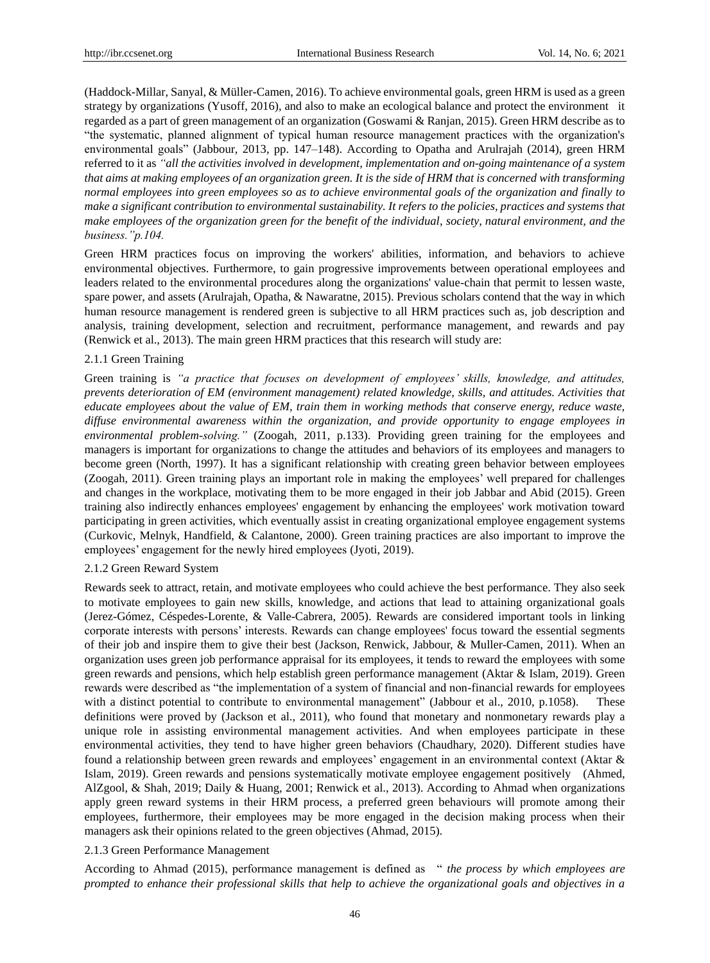(Haddock-Millar, Sanyal, & Müller-Camen, 2016). To achieve environmental goals, green HRM is used as a green strategy by organizations (Yusoff, 2016), and also to make an ecological balance and protect the environment it regarded as a part of green management of an organization (Goswami & Ranjan, 2015). Green HRM describe as to "the systematic, planned alignment of typical human resource management practices with the organization's environmental goals" (Jabbour, 2013, pp. 147–148). According to Opatha and Arulrajah (2014), green HRM referred to it as *"all the activities involved in development, implementation and on-going maintenance of a system that aims at making employees of an organization green. It is the side of HRM that is concerned with transforming normal employees into green employees so as to achieve environmental goals of the organization and finally to make a significant contribution to environmental sustainability. It refers to the policies, practices and systems that make employees of the organization green for the benefit of the individual, society, natural environment, and the business."p.104.*

Green HRM practices focus on improving the workers' abilities, information, and behaviors to achieve environmental objectives. Furthermore, to gain progressive improvements between operational employees and leaders related to the environmental procedures along the organizations' value-chain that permit to lessen waste, spare power, and assets (Arulrajah, Opatha, & Nawaratne, 2015). Previous scholars contend that the way in which human resource management is rendered green is subjective to all HRM practices such as, job description and analysis, training development, selection and recruitment, performance management, and rewards and pay (Renwick et al., 2013). The main green HRM practices that this research will study are:

#### 2.1.1 Green Training

Green training is *"a practice that focuses on development of employees' skills, knowledge, and attitudes, prevents deterioration of EM (environment management) related knowledge, skills, and attitudes. Activities that educate employees about the value of EM, train them in working methods that conserve energy, reduce waste, diffuse environmental awareness within the organization, and provide opportunity to engage employees in environmental problem-solving."* (Zoogah, 2011, p.133). Providing green training for the employees and managers is important for organizations to change the attitudes and behaviors of its employees and managers to become green (North, 1997). It has a significant relationship with creating green behavior between employees (Zoogah, 2011). Green training plays an important role in making the employees' well prepared for challenges and changes in the workplace, motivating them to be more engaged in their job Jabbar and Abid (2015). Green training also indirectly enhances employees' engagement by enhancing the employees' work motivation toward participating in green activities, which eventually assist in creating organizational employee engagement systems (Curkovic, Melnyk, Handfield, & Calantone, 2000). Green training practices are also important to improve the employees' engagement for the newly hired employees (Jyoti, 2019).

#### 2.1.2 Green Reward System

Rewards seek to attract, retain, and motivate employees who could achieve the best performance. They also seek to motivate employees to gain new skills, knowledge, and actions that lead to attaining organizational goals (Jerez-Gómez, Céspedes-Lorente, & Valle-Cabrera, 2005). Rewards are considered important tools in linking corporate interests with persons' interests. Rewards can change employees' focus toward the essential segments of their job and inspire them to give their best (Jackson, Renwick, Jabbour, & Muller-Camen, 2011). When an organization uses green job performance appraisal for its employees, it tends to reward the employees with some green rewards and pensions, which help establish green performance management (Aktar & Islam, 2019). Green rewards were described as "the implementation of a system of financial and non-financial rewards for employees with a distinct potential to contribute to environmental management" (Jabbour et al., 2010, p.1058). These definitions were proved by (Jackson et al., 2011), who found that monetary and nonmonetary rewards play a unique role in assisting environmental management activities. And when employees participate in these environmental activities, they tend to have higher green behaviors (Chaudhary, 2020). Different studies have found a relationship between green rewards and employees' engagement in an environmental context (Aktar & Islam, 2019). Green rewards and pensions systematically motivate employee engagement positively (Ahmed, AlZgool, & Shah, 2019; Daily & Huang, 2001; Renwick et al., 2013). According to Ahmad when organizations apply green reward systems in their HRM process, a preferred green behaviours will promote among their employees, furthermore, their employees may be more engaged in the decision making process when their managers ask their opinions related to the green objectives (Ahmad, 2015).

## 2.1.3 Green Performance Management

According to Ahmad (2015), performance management is defined as " *the process by which employees are prompted to enhance their professional skills that help to achieve the organizational goals and objectives in a*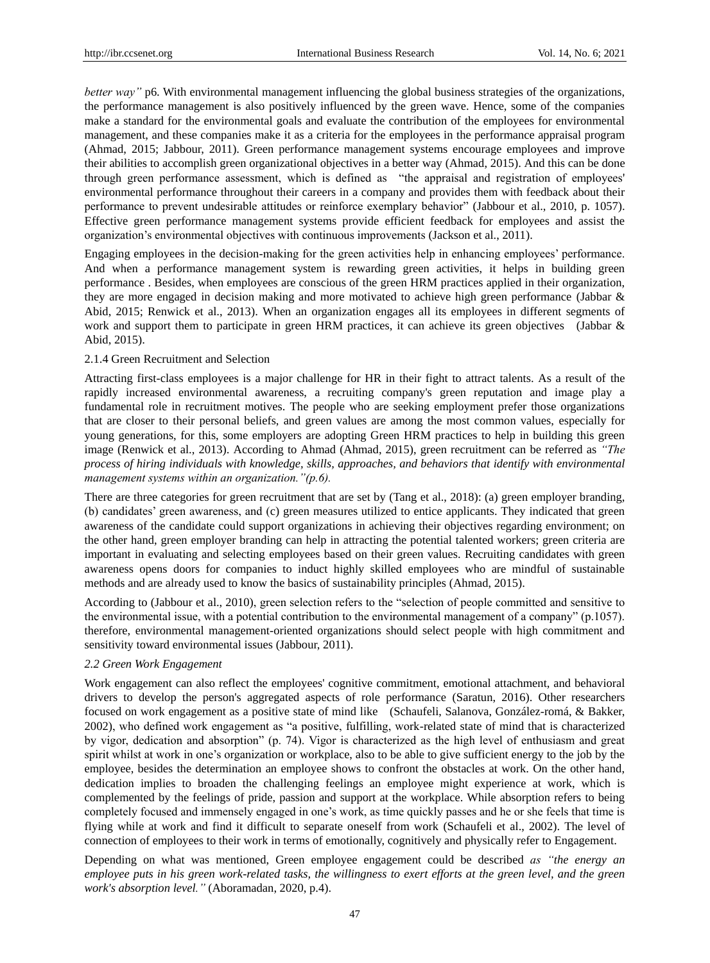*better way*" p6. With environmental management influencing the global business strategies of the organizations, the performance management is also positively influenced by the green wave. Hence, some of the companies make a standard for the environmental goals and evaluate the contribution of the employees for environmental management, and these companies make it as a criteria for the employees in the performance appraisal program (Ahmad, 2015; Jabbour, 2011). Green performance management systems encourage employees and improve their abilities to accomplish green organizational objectives in a better way (Ahmad, 2015). And this can be done through green performance assessment, which is defined as "the appraisal and registration of employees' environmental performance throughout their careers in a company and provides them with feedback about their performance to prevent undesirable attitudes or reinforce exemplary behavior" (Jabbour et al., 2010, p. 1057). Effective green performance management systems provide efficient feedback for employees and assist the organization's environmental objectives with continuous improvements (Jackson et al., 2011).

Engaging employees in the decision-making for the green activities help in enhancing employees' performance. And when a performance management system is rewarding green activities, it helps in building green performance . Besides, when employees are conscious of the green HRM practices applied in their organization, they are more engaged in decision making and more motivated to achieve high green performance (Jabbar & Abid, 2015; Renwick et al., 2013). When an organization engages all its employees in different segments of work and support them to participate in green HRM practices, it can achieve its green objectives (Jabbar & Abid, 2015).

#### 2.1.4 Green Recruitment and Selection

Attracting first-class employees is a major challenge for HR in their fight to attract talents. As a result of the rapidly increased environmental awareness, a recruiting company's green reputation and image play a fundamental role in recruitment motives. The people who are seeking employment prefer those organizations that are closer to their personal beliefs, and green values are among the most common values, especially for young generations, for this, some employers are adopting Green HRM practices to help in building this green image (Renwick et al., 2013). According to Ahmad (Ahmad, 2015), green recruitment can be referred as *"The process of hiring individuals with knowledge, skills, approaches, and behaviors that identify with environmental management systems within an organization."(p.6).*

There are three categories for green recruitment that are set by (Tang et al., 2018): (a) green employer branding, (b) candidates' green awareness, and (c) green measures utilized to entice applicants. They indicated that green awareness of the candidate could support organizations in achieving their objectives regarding environment; on the other hand, green employer branding can help in attracting the potential talented workers; green criteria are important in evaluating and selecting employees based on their green values. Recruiting candidates with green awareness opens doors for companies to induct highly skilled employees who are mindful of sustainable methods and are already used to know the basics of sustainability principles (Ahmad, 2015).

According to (Jabbour et al., 2010), green selection refers to the "selection of people committed and sensitive to the environmental issue, with a potential contribution to the environmental management of a company" (p.1057). therefore, environmental management-oriented organizations should select people with high commitment and sensitivity toward environmental issues (Jabbour, 2011).

## *2.2 Green Work Engagement*

Work engagement can also reflect the employees' cognitive commitment, emotional attachment, and behavioral drivers to develop the person's aggregated aspects of role performance (Saratun, 2016). Other researchers focused on work engagement as a positive state of mind like (Schaufeli, Salanova, González-romá, & Bakker, 2002), who defined work engagement as "a positive, fulfilling, work-related state of mind that is characterized by vigor, dedication and absorption" (p. 74). Vigor is characterized as the high level of enthusiasm and great spirit whilst at work in one's organization or workplace, also to be able to give sufficient energy to the job by the employee, besides the determination an employee shows to confront the obstacles at work. On the other hand, dedication implies to broaden the challenging feelings an employee might experience at work, which is complemented by the feelings of pride, passion and support at the workplace. While absorption refers to being completely focused and immensely engaged in one's work, as time quickly passes and he or she feels that time is flying while at work and find it difficult to separate oneself from work (Schaufeli et al., 2002). The level of connection of employees to their work in terms of emotionally, cognitively and physically refer to Engagement.

Depending on what was mentioned, Green employee engagement could be described *as "the energy an*  employee puts in his green work-related tasks, the willingness to exert efforts at the green level, and the green *work's absorption level."* (Aboramadan, 2020, p.4).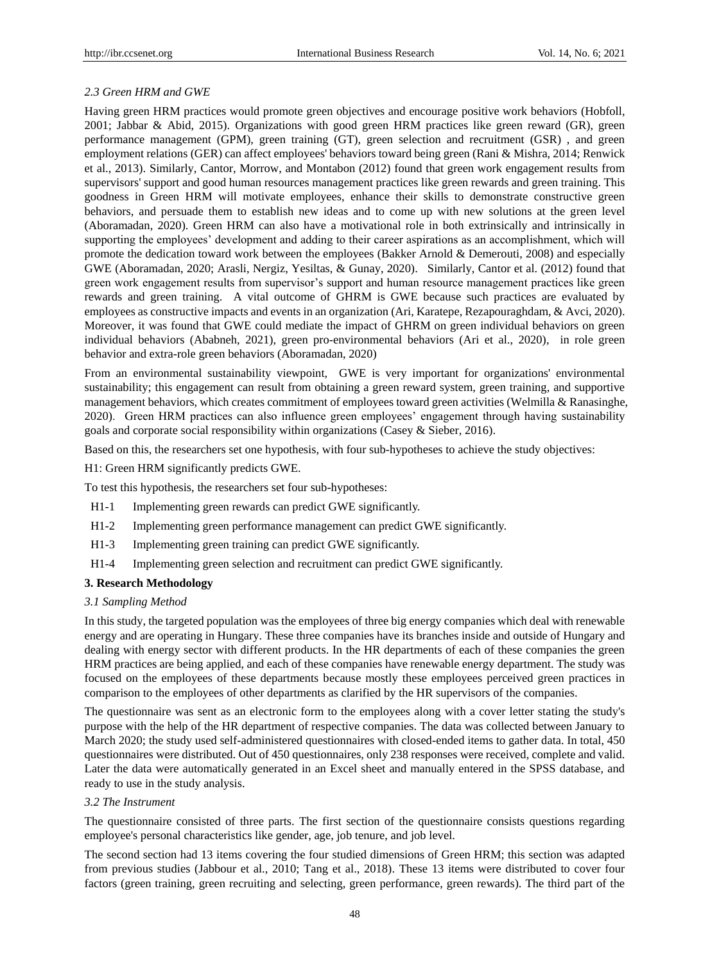## *2.3 Green HRM and GWE*

Having green HRM practices would promote green objectives and encourage positive work behaviors (Hobfoll, 2001; Jabbar & Abid, 2015). Organizations with good green HRM practices like green reward (GR), green performance management (GPM), green training (GT), green selection and recruitment (GSR) , and green employment relations (GER) can affect employees' behaviors toward being green (Rani & Mishra, 2014; Renwick et al., 2013). Similarly, Cantor, Morrow, and Montabon (2012) found that green work engagement results from supervisors' support and good human resources management practices like green rewards and green training. This goodness in Green HRM will motivate employees, enhance their skills to demonstrate constructive green behaviors, and persuade them to establish new ideas and to come up with new solutions at the green level (Aboramadan, 2020). Green HRM can also have a motivational role in both extrinsically and intrinsically in supporting the employees' development and adding to their career aspirations as an accomplishment, which will promote the dedication toward work between the employees (Bakker Arnold & Demerouti, 2008) and especially GWE (Aboramadan, 2020; Arasli, Nergiz, Yesiltas, & Gunay, 2020). Similarly, Cantor et al. (2012) found that green work engagement results from supervisor's support and human resource management practices like green rewards and green training. A vital outcome of GHRM is GWE because such practices are evaluated by employees as constructive impacts and events in an organization (Ari, Karatepe, Rezapouraghdam, & Avci, 2020). Moreover, it was found that GWE could mediate the impact of GHRM on green individual behaviors on green individual behaviors (Ababneh, 2021), green pro-environmental behaviors (Ari et al., 2020), in role green behavior and extra-role green behaviors (Aboramadan, 2020)

From an environmental sustainability viewpoint, GWE is very important for organizations' environmental sustainability; this engagement can result from obtaining a green reward system, green training, and supportive management behaviors, which creates commitment of employees toward green activities (Welmilla & Ranasinghe, 2020). Green HRM practices can also influence green employees' engagement through having sustainability goals and corporate social responsibility within organizations (Casey & Sieber, 2016).

Based on this, the researchers set one hypothesis, with four sub-hypotheses to achieve the study objectives:

H1: Green HRM significantly predicts GWE.

To test this hypothesis, the researchers set four sub-hypotheses:

- H1-1 Implementing green rewards can predict GWE significantly.
- H1-2 Implementing green performance management can predict GWE significantly.
- H1-3 Implementing green training can predict GWE significantly.
- H1-4 Implementing green selection and recruitment can predict GWE significantly.

## **3. Research Methodology**

#### *3.1 Sampling Method*

In this study, the targeted population was the employees of three big energy companies which deal with renewable energy and are operating in Hungary. These three companies have its branches inside and outside of Hungary and dealing with energy sector with different products. In the HR departments of each of these companies the green HRM practices are being applied, and each of these companies have renewable energy department. The study was focused on the employees of these departments because mostly these employees perceived green practices in comparison to the employees of other departments as clarified by the HR supervisors of the companies.

The questionnaire was sent as an electronic form to the employees along with a cover letter stating the study's purpose with the help of the HR department of respective companies. The data was collected between January to March 2020; the study used self-administered questionnaires with closed-ended items to gather data. In total, 450 questionnaires were distributed. Out of 450 questionnaires, only 238 responses were received, complete and valid. Later the data were automatically generated in an Excel sheet and manually entered in the SPSS database, and ready to use in the study analysis.

#### *3.2 The Instrument*

The questionnaire consisted of three parts. The first section of the questionnaire consists questions regarding employee's personal characteristics like gender, age, job tenure, and job level.

The second section had 13 items covering the four studied dimensions of Green HRM; this section was adapted from previous studies (Jabbour et al., 2010; Tang et al., 2018). These 13 items were distributed to cover four factors (green training, green recruiting and selecting, green performance, green rewards). The third part of the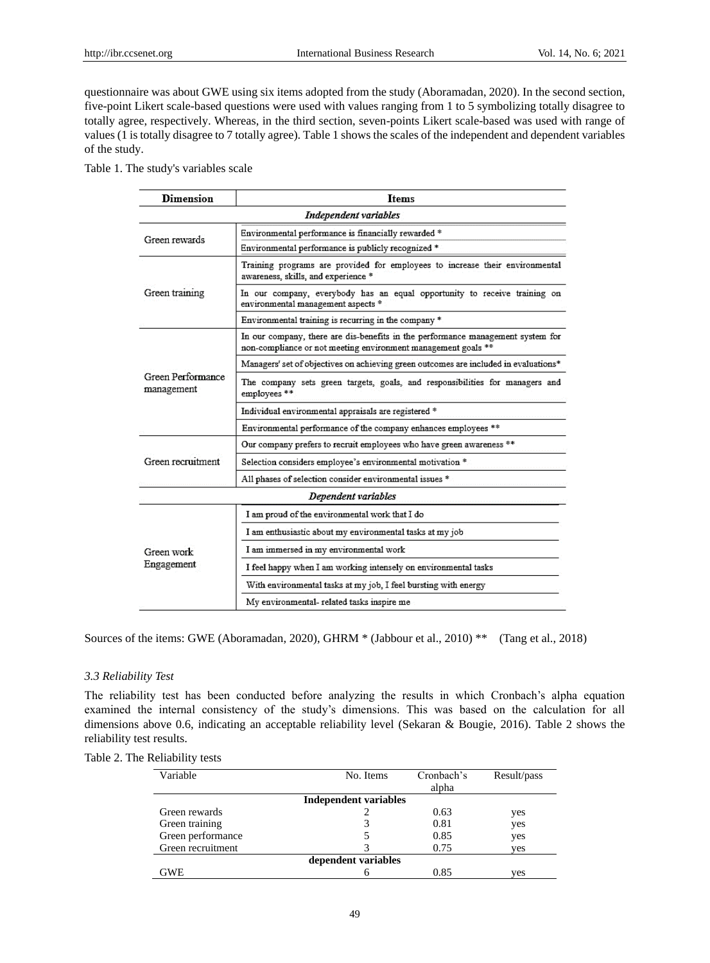questionnaire was about GWE using six items adopted from the study (Aboramadan, 2020). In the second section, five-point Likert scale-based questions were used with values ranging from 1 to 5 symbolizing totally disagree to totally agree, respectively. Whereas, in the third section, seven-points Likert scale-based was used with range of values (1 is totally disagree to 7 totally agree). Table 1 shows the scales of the independent and dependent variables of the study.

Table 1. The study's variables scale

| <b>Dimension</b>                | <b>Items</b>                                                                                                                                     |  |  |  |  |
|---------------------------------|--------------------------------------------------------------------------------------------------------------------------------------------------|--|--|--|--|
|                                 | Independent variables                                                                                                                            |  |  |  |  |
| Green rewards                   | Environmental performance is financially rewarded *                                                                                              |  |  |  |  |
|                                 | Environmental performance is publicly recognized *                                                                                               |  |  |  |  |
|                                 | Training programs are provided for employees to increase their environmental<br>awareness, skills, and experience *                              |  |  |  |  |
| Green training                  | In our company, everybody has an equal opportunity to receive training on<br>environmental management aspects *                                  |  |  |  |  |
|                                 | Environmental training is recurring in the company *                                                                                             |  |  |  |  |
|                                 | In our company, there are dis-benefits in the performance management system for<br>non-compliance or not meeting environment management goals ** |  |  |  |  |
|                                 | Managers' set of objectives on achieving green outcomes are included in evaluations*                                                             |  |  |  |  |
| Green Performance<br>management | The company sets green targets, goals, and responsibilities for managers and<br>employees **                                                     |  |  |  |  |
|                                 | Individual environmental appraisals are registered *                                                                                             |  |  |  |  |
|                                 | Environmental performance of the company enhances employees **                                                                                   |  |  |  |  |
|                                 | Our company prefers to recruit employees who have green awareness **                                                                             |  |  |  |  |
| Green recruitment               | Selection considers employee's environmental motivation *.                                                                                       |  |  |  |  |
|                                 | All phases of selection consider environmental issues *                                                                                          |  |  |  |  |
|                                 | Dependent variables                                                                                                                              |  |  |  |  |
|                                 | I am proud of the environmental work that I do                                                                                                   |  |  |  |  |
| Green work<br><b>Engagement</b> | I am enthusiastic about my environmental tasks at my job                                                                                         |  |  |  |  |
|                                 | I am immersed in my environmental work                                                                                                           |  |  |  |  |
|                                 | I feel happy when I am working intensely on environmental tasks                                                                                  |  |  |  |  |
|                                 | With environmental tasks at my job, I feel bursting with energy                                                                                  |  |  |  |  |
|                                 | My environmental- related tasks inspire me                                                                                                       |  |  |  |  |

Sources of the items: GWE (Aboramadan, 2020), GHRM \* (Jabbour et al., 2010) \*\* (Tang et al., 2018)

#### *3.3 Reliability Test*

The reliability test has been conducted before analyzing the results in which Cronbach's alpha equation examined the internal consistency of the study's dimensions. This was based on the calculation for all dimensions above 0.6, indicating an acceptable reliability level (Sekaran & Bougie, 2016). Table 2 shows the reliability test results.

| Variable          | No. Items                    | Cronbach's | Result/pass |
|-------------------|------------------------------|------------|-------------|
|                   |                              | alpha      |             |
|                   | <b>Independent variables</b> |            |             |
| Green rewards     |                              | 0.63       | yes         |
| Green training    |                              | 0.81       | yes         |
| Green performance |                              | 0.85       | yes         |
| Green recruitment |                              | 0.75       | ves         |
|                   | dependent variables          |            |             |
| GWE               |                              | 0.85       | ves         |

## Table 2. The Reliability tests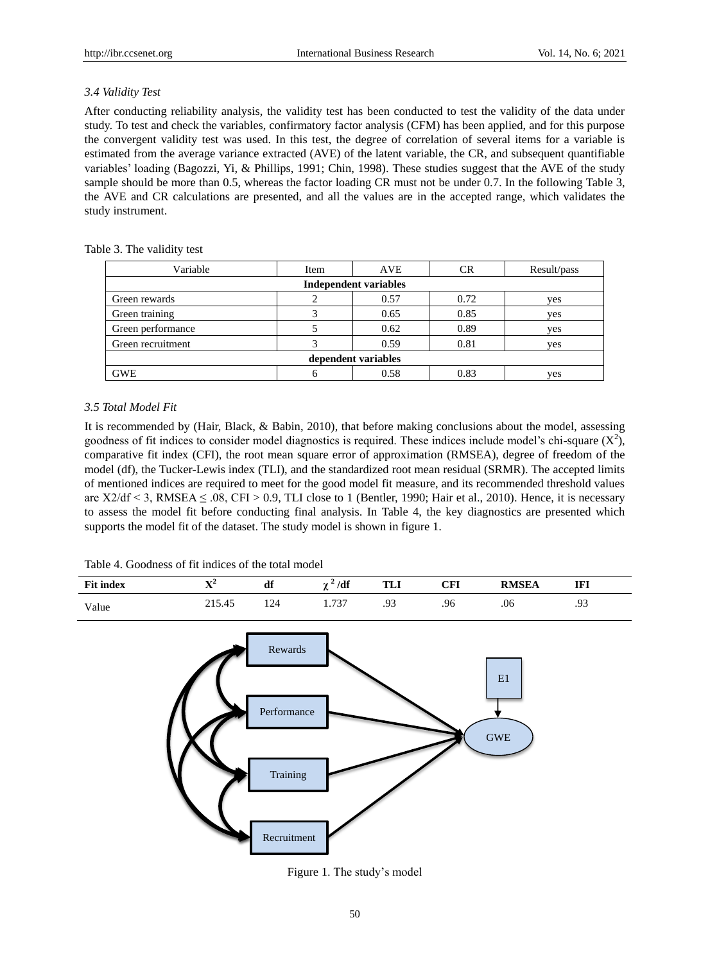## *3.4 Validity Test*

After conducting reliability analysis, the validity test has been conducted to test the validity of the data under study. To test and check the variables, confirmatory factor analysis (CFM) has been applied, and for this purpose the convergent validity test was used. In this test, the degree of correlation of several items for a variable is estimated from the average variance extracted (AVE) of the latent variable, the CR, and subsequent quantifiable variables' loading (Bagozzi, Yi, & Phillips, 1991; Chin, 1998). These studies suggest that the AVE of the study sample should be more than 0.5, whereas the factor loading CR must not be under 0.7. In the following Table 3, the AVE and CR calculations are presented, and all the values are in the accepted range, which validates the study instrument.

#### Table 3. The validity test

| Variable            | Item | <b>AVE</b>                   | CR   | Result/pass |  |
|---------------------|------|------------------------------|------|-------------|--|
|                     |      | <b>Independent variables</b> |      |             |  |
| Green rewards       |      | 0.57                         | 0.72 | yes         |  |
| Green training      |      | 0.65                         | 0.85 | yes         |  |
| Green performance   |      | 0.62                         | 0.89 | yes         |  |
| Green recruitment   |      | 0.59                         | 0.81 | yes         |  |
| dependent variables |      |                              |      |             |  |
| <b>GWE</b>          |      | 0.58                         | 0.83 | yes         |  |

## *3.5 Total Model Fit*

It is recommended by (Hair, Black, & Babin, 2010), that before making conclusions about the model, assessing goodness of fit indices to consider model diagnostics is required. These indices include model's chi-square  $(X^2)$ , comparative fit index (CFI), the root mean square error of approximation (RMSEA), degree of freedom of the model (df), the Tucker-Lewis index (TLI), and the standardized root mean residual (SRMR). The accepted limits of mentioned indices are required to meet for the good model fit measure, and its recommended threshold values are  $X2/df \leq 3$ , RMSEA  $\leq .08$ , CFI > 0.9, TLI close to 1 (Bentler, 1990; Hair et al., 2010). Hence, it is necessary to assess the model fit before conducting final analysis. In Table 4, the key diagnostics are presented which supports the model fit of the dataset. The study model is shown in figure 1.

Table 4. Goodness of fit indices of the total model





Figure 1. The study's model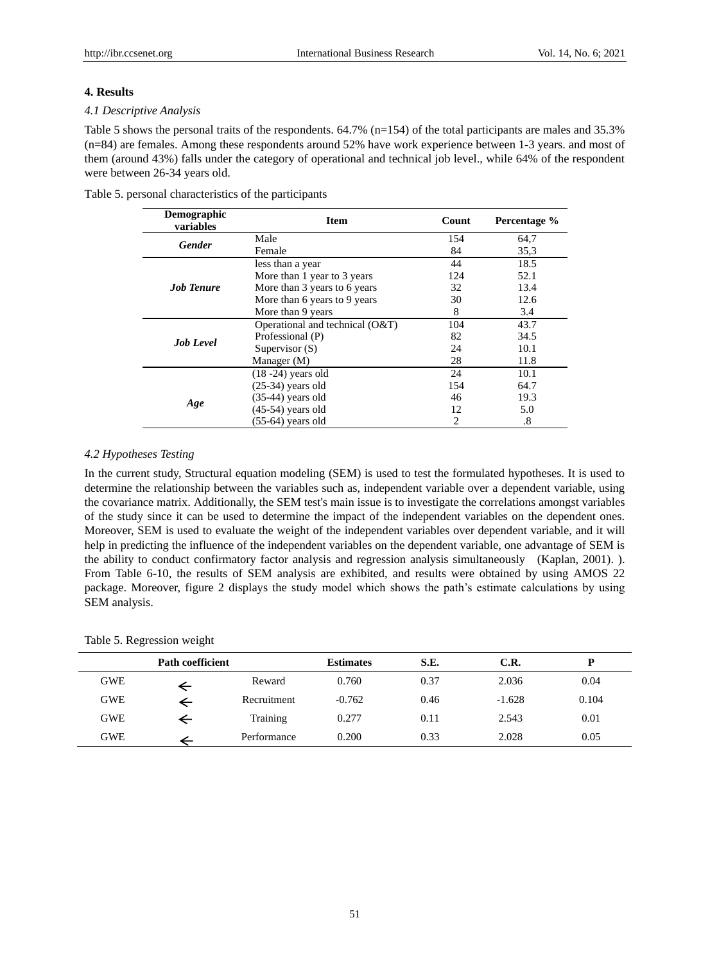## **4. Results**

#### *4.1 Descriptive Analysis*

Table 5 shows the personal traits of the respondents. 64.7% (n=154) of the total participants are males and 35.3% (n=84) are females. Among these respondents around 52% have work experience between 1-3 years. and most of them (around 43%) falls under the category of operational and technical job level., while 64% of the respondent were between 26-34 years old.

| <b>Demographic</b><br>variables | <b>Item</b>                       | Count | Percentage % |
|---------------------------------|-----------------------------------|-------|--------------|
| <b>Gender</b>                   | Male                              | 154   | 64,7         |
|                                 | Female                            | 84    | 35,3         |
|                                 | less than a year                  | 44    | 18.5         |
|                                 | More than 1 year to 3 years       | 124   | 52.1         |
| <b>Job Tenure</b>               | More than 3 years to 6 years      | 32    | 13.4         |
|                                 | More than 6 years to 9 years      | 30    | 12.6         |
|                                 | More than 9 years                 | 8     | 3.4          |
|                                 | Operational and technical $(O&T)$ | 104   | 43.7         |
| <b>Job Level</b>                | Professional (P)                  | 82    | 34.5         |
|                                 | Supervisor $(S)$                  | 24    | 10.1         |
|                                 | Manager (M)                       | 28    | 11.8         |
|                                 | $(18 - 24)$ years old             | 24    | 10.1         |
|                                 | $(25-34)$ years old               | 154   | 64.7         |
|                                 | $(35-44)$ years old               | 46    | 19.3         |
| Age                             | $(45-54)$ years old               | 12    | 5.0          |
|                                 | $(55-64)$ years old               | 2     | .8           |

Table 5. personal characteristics of the participants

#### *4.2 Hypotheses Testing*

In the current study, Structural equation modeling (SEM) is used to test the formulated hypotheses. It is used to determine the relationship between the variables such as, independent variable over a dependent variable, using the covariance matrix. Additionally, the SEM test's main issue is to investigate the correlations amongst variables of the study since it can be used to determine the impact of the independent variables on the dependent ones. Moreover, SEM is used to evaluate the weight of the independent variables over dependent variable, and it will help in predicting the influence of the independent variables on the dependent variable, one advantage of SEM is the ability to conduct confirmatory factor analysis and regression analysis simultaneously (Kaplan, 2001). ). From Table 6-10, the results of SEM analysis are exhibited, and results were obtained by using AMOS 22 package. Moreover, figure 2 displays the study model which shows the path's estimate calculations by using SEM analysis.

## Table 5. Regression weight

| <b>Path coefficient</b> |  | <b>Estimates</b> | S.E.     | C.R. |          |       |
|-------------------------|--|------------------|----------|------|----------|-------|
| <b>GWE</b>              |  | Reward           | 0.760    | 0.37 | 2.036    | 0.04  |
| <b>GWE</b>              |  | Recruitment      | $-0.762$ | 0.46 | $-1.628$ | 0.104 |
| <b>GWE</b>              |  | Training         | 0.277    | 0.11 | 2.543    | 0.01  |
| GWE                     |  | Performance      | 0.200    | 0.33 | 2.028    | 0.05  |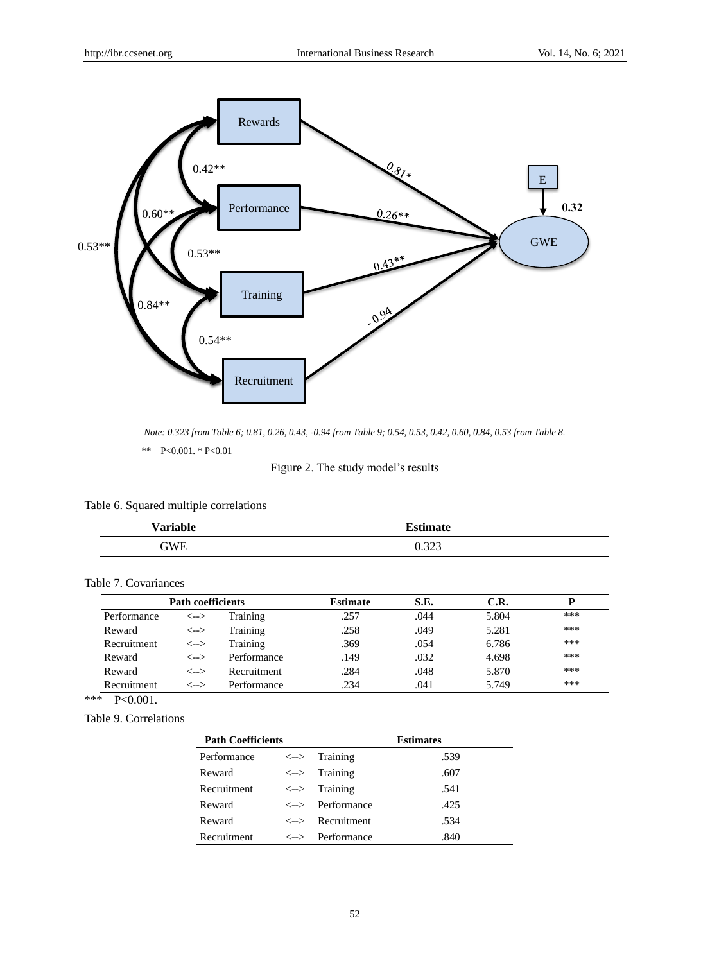

*Note: 0.323 from Table 6; 0.81, 0.26, 0.43, -0.94 from Table 9; 0.54, 0.53, 0.42, 0.60, 0.84, 0.53 from Table 8.*

\*\* P<0.001. \* P<0.01

Figure 2. The study model's results

|  |  |  | Table 6. Squared multiple correlations |
|--|--|--|----------------------------------------|
|--|--|--|----------------------------------------|

| <b>Variable</b> | <b>Estimate</b> |
|-----------------|-----------------|
| GWE             | 0.323           |

# Table 7. Covariances

|             | Path coefficients              |             | <b>Estimate</b> | S.E. | C.R.  | D   |  |
|-------------|--------------------------------|-------------|-----------------|------|-------|-----|--|
| Performance | <-->                           | Training    | .257            | .044 | 5.804 | *** |  |
| Reward      | <-->                           | Training    | .258            | .049 | 5.281 | *** |  |
| Recruitment | <-->                           | Training    | .369            | .054 | 6.786 | *** |  |
| Reward      | $\left\langle --\right\rangle$ | Performance | .149            | .032 | 4.698 | *** |  |
| Reward      | $\left\langle --\right\rangle$ | Recruitment | .284            | .048 | 5.870 | *** |  |
| Recruitment | $\left\langle --\right\rangle$ | Performance | .234            | .041 | 5.749 | *** |  |

\*\*\* P<0.001.

Table 9. Correlations

| <b>Path Coefficients</b> |  |                                                     | <b>Estimates</b> |  |
|--------------------------|--|-----------------------------------------------------|------------------|--|
| Performance              |  | $\left\langle \leftarrow \right\rangle$ Training    | .539             |  |
| Reward                   |  | $\leftarrow$ > Training                             | .607             |  |
| Recruitment              |  | $\leftarrow$ Training                               | .541             |  |
| Reward                   |  | $\left\langle \leftarrow \right\rangle$ Performance | .425             |  |
| Reward                   |  | $\left\langle \text{---} \right\rangle$ Recruitment | .534             |  |
| Recruitment              |  | $\left\langle \leftarrow \right\rangle$ Performance | .840             |  |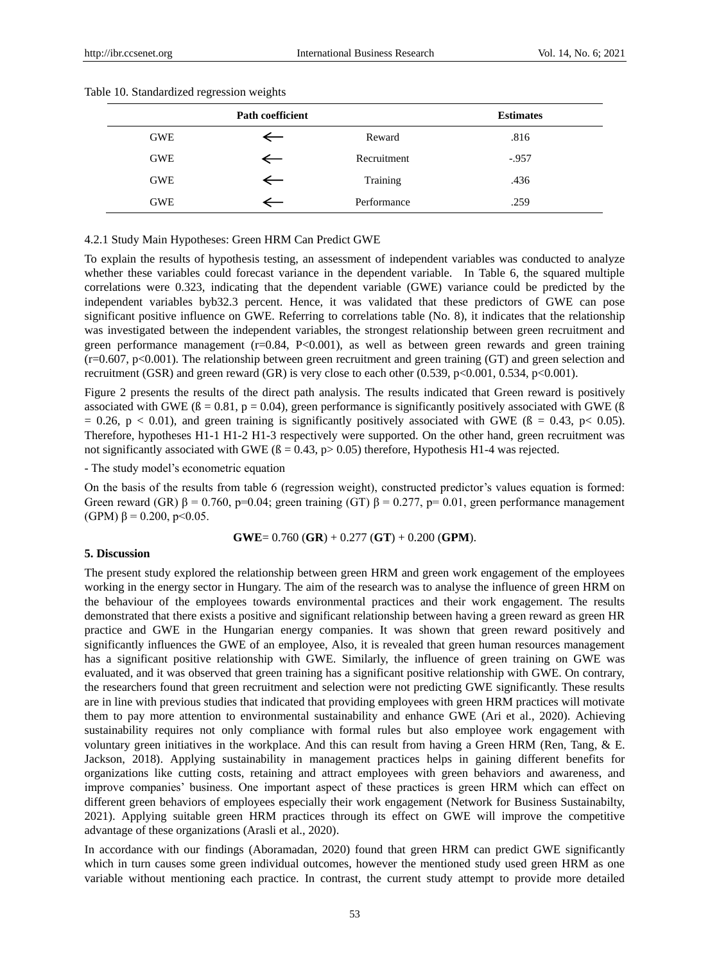| <b>Path coefficient</b> |              |             | <b>Estimates</b> |
|-------------------------|--------------|-------------|------------------|
| <b>GWE</b>              | $\leftarrow$ | Reward      | .816             |
| <b>GWE</b>              | $\leftarrow$ | Recruitment | $-.957$          |
| <b>GWE</b>              | $\equiv$     | Training    | .436             |
| <b>GWE</b>              |              | Performance | .259             |

#### Table 10. Standardized regression weights

#### 4.2.1 Study Main Hypotheses: Green HRM Can Predict GWE

To explain the results of hypothesis testing, an assessment of independent variables was conducted to analyze whether these variables could forecast variance in the dependent variable. In Table 6, the squared multiple correlations were 0.323, indicating that the dependent variable (GWE) variance could be predicted by the independent variables byb32.3 percent. Hence, it was validated that these predictors of GWE can pose significant positive influence on GWE. Referring to correlations table (No. 8), it indicates that the relationship was investigated between the independent variables, the strongest relationship between green recruitment and green performance management  $(r=0.84, P<0.001)$ , as well as between green rewards and green training  $(r=0.607, p<0.001)$ . The relationship between green recruitment and green training (GT) and green selection and recruitment (GSR) and green reward (GR) is very close to each other (0.539, p<0.001, 0.534, p<0.001).

Figure 2 presents the results of the direct path analysis. The results indicated that Green reward is positively associated with GWE ( $\beta = 0.81$ ,  $p = 0.04$ ), green performance is significantly positively associated with GWE ( $\beta$ = 0.26, p < 0.01), and green training is significantly positively associated with GWE ( $\beta$  = 0.43, p < 0.05). Therefore, hypotheses H1-1 H1-2 H1-3 respectively were supported. On the other hand, green recruitment was not significantly associated with GWE ( $\beta$  = 0.43, p> 0.05) therefore, Hypothesis H1-4 was rejected.

- The study model's econometric equation

On the basis of the results from table 6 (regression weight), constructed predictor's values equation is formed: Green reward (GR)  $\beta = 0.760$ , p=0.04; green training (GT)  $\beta = 0.277$ , p=0.01, green performance management (GPM)  $\beta$  = 0.200, p < 0.05.

$$
GWE = 0.760 (GR) + 0.277 (GT) + 0.200 (GPM).
$$

#### **5. Discussion**

The present study explored the relationship between green HRM and green work engagement of the employees working in the energy sector in Hungary. The aim of the research was to analyse the influence of green HRM on the behaviour of the employees towards environmental practices and their work engagement. The results demonstrated that there exists a positive and significant relationship between having a green reward as green HR practice and GWE in the Hungarian energy companies. It was shown that green reward positively and significantly influences the GWE of an employee, Also, it is revealed that green human resources management has a significant positive relationship with GWE. Similarly, the influence of green training on GWE was evaluated, and it was observed that green training has a significant positive relationship with GWE. On contrary, the researchers found that green recruitment and selection were not predicting GWE significantly. These results are in line with previous studies that indicated that providing employees with green HRM practices will motivate them to pay more attention to environmental sustainability and enhance GWE (Ari et al., 2020). Achieving sustainability requires not only compliance with formal rules but also employee work engagement with voluntary green initiatives in the workplace. And this can result from having a Green HRM (Ren, Tang, & E. Jackson, 2018). Applying sustainability in management practices helps in gaining different benefits for organizations like cutting costs, retaining and attract employees with green behaviors and awareness, and improve companies' business. One important aspect of these practices is green HRM which can effect on different green behaviors of employees especially their work engagement (Network for Business Sustainabilty, 2021). Applying suitable green HRM practices through its effect on GWE will improve the competitive advantage of these organizations (Arasli et al., 2020).

In accordance with our findings (Aboramadan, 2020) found that green HRM can predict GWE significantly which in turn causes some green individual outcomes, however the mentioned study used green HRM as one variable without mentioning each practice. In contrast, the current study attempt to provide more detailed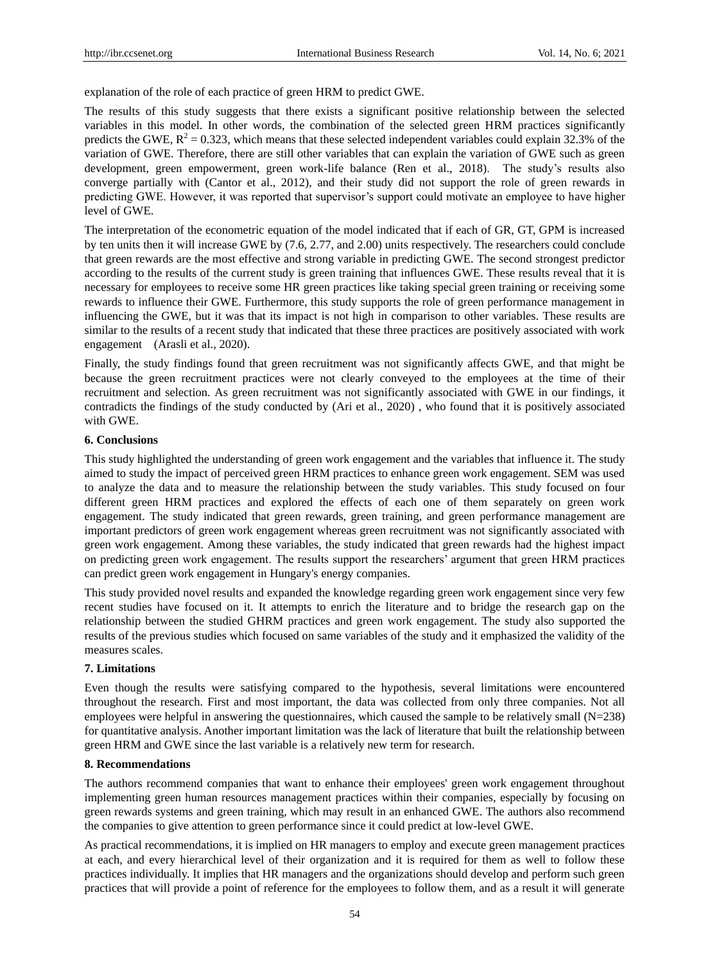explanation of the role of each practice of green HRM to predict GWE.

The results of this study suggests that there exists a significant positive relationship between the selected variables in this model. In other words, the combination of the selected green HRM practices significantly predicts the GWE,  $R^2 = 0.323$ , which means that these selected independent variables could explain 32.3% of the variation of GWE. Therefore, there are still other variables that can explain the variation of GWE such as green development, green empowerment, green work-life balance (Ren et al., 2018). The study's results also converge partially with (Cantor et al., 2012), and their study did not support the role of green rewards in predicting GWE. However, it was reported that supervisor's support could motivate an employee to have higher level of GWE.

The interpretation of the econometric equation of the model indicated that if each of GR, GT, GPM is increased by ten units then it will increase GWE by (7.6, 2.77, and 2.00) units respectively. The researchers could conclude that green rewards are the most effective and strong variable in predicting GWE. The second strongest predictor according to the results of the current study is green training that influences GWE. These results reveal that it is necessary for employees to receive some HR green practices like taking special green training or receiving some rewards to influence their GWE. Furthermore, this study supports the role of green performance management in influencing the GWE, but it was that its impact is not high in comparison to other variables. These results are similar to the results of a recent study that indicated that these three practices are positively associated with work engagement (Arasli et al., 2020).

Finally, the study findings found that green recruitment was not significantly affects GWE, and that might be because the green recruitment practices were not clearly conveyed to the employees at the time of their recruitment and selection. As green recruitment was not significantly associated with GWE in our findings, it contradicts the findings of the study conducted by (Ari et al., 2020) , who found that it is positively associated with GWE.

## **6. Conclusions**

This study highlighted the understanding of green work engagement and the variables that influence it. The study aimed to study the impact of perceived green HRM practices to enhance green work engagement. SEM was used to analyze the data and to measure the relationship between the study variables. This study focused on four different green HRM practices and explored the effects of each one of them separately on green work engagement. The study indicated that green rewards, green training, and green performance management are important predictors of green work engagement whereas green recruitment was not significantly associated with green work engagement. Among these variables, the study indicated that green rewards had the highest impact on predicting green work engagement. The results support the researchers' argument that green HRM practices can predict green work engagement in Hungary's energy companies.

This study provided novel results and expanded the knowledge regarding green work engagement since very few recent studies have focused on it. It attempts to enrich the literature and to bridge the research gap on the relationship between the studied GHRM practices and green work engagement. The study also supported the results of the previous studies which focused on same variables of the study and it emphasized the validity of the measures scales.

# **7. Limitations**

Even though the results were satisfying compared to the hypothesis, several limitations were encountered throughout the research. First and most important, the data was collected from only three companies. Not all employees were helpful in answering the questionnaires, which caused the sample to be relatively small (N=238) for quantitative analysis. Another important limitation was the lack of literature that built the relationship between green HRM and GWE since the last variable is a relatively new term for research.

## **8. Recommendations**

The authors recommend companies that want to enhance their employees' green work engagement throughout implementing green human resources management practices within their companies, especially by focusing on green rewards systems and green training, which may result in an enhanced GWE. The authors also recommend the companies to give attention to green performance since it could predict at low-level GWE.

As practical recommendations, it is implied on HR managers to employ and execute green management practices at each, and every hierarchical level of their organization and it is required for them as well to follow these practices individually. It implies that HR managers and the organizations should develop and perform such green practices that will provide a point of reference for the employees to follow them, and as a result it will generate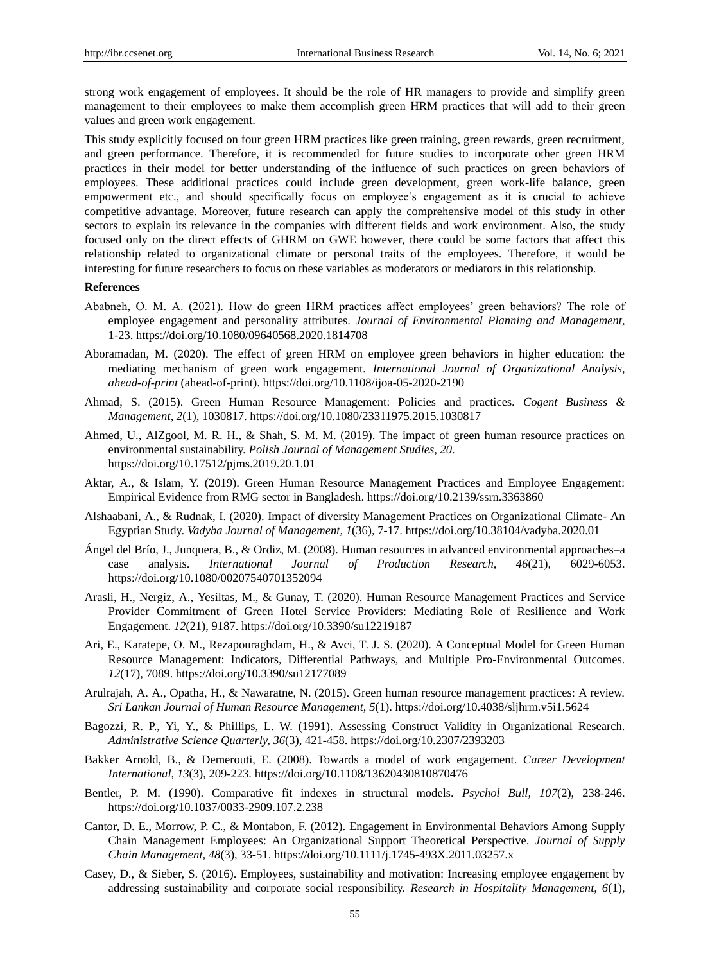strong work engagement of employees. It should be the role of HR managers to provide and simplify green management to their employees to make them accomplish green HRM practices that will add to their green values and green work engagement.

This study explicitly focused on four green HRM practices like green training, green rewards, green recruitment, and green performance. Therefore, it is recommended for future studies to incorporate other green HRM practices in their model for better understanding of the influence of such practices on green behaviors of employees. These additional practices could include green development, green work-life balance, green empowerment etc., and should specifically focus on employee's engagement as it is crucial to achieve competitive advantage. Moreover, future research can apply the comprehensive model of this study in other sectors to explain its relevance in the companies with different fields and work environment. Also, the study focused only on the direct effects of GHRM on GWE however, there could be some factors that affect this relationship related to organizational climate or personal traits of the employees. Therefore, it would be interesting for future researchers to focus on these variables as moderators or mediators in this relationship.

#### **References**

- Ababneh, O. M. A. (2021). How do green HRM practices affect employees' green behaviors? The role of employee engagement and personality attributes. *Journal of Environmental Planning and Management*, 1-23. <https://doi.org/10.1080/09640568.2020.1814708>
- Aboramadan, M. (2020). The effect of green HRM on employee green behaviors in higher education: the mediating mechanism of green work engagement. *International Journal of Organizational Analysis, ahead-of-print* (ahead-of-print). <https://doi.org/10.1108/ijoa-05-2020-2190>
- Ahmad, S. (2015). Green Human Resource Management: Policies and practices. *Cogent Business & Management, 2*(1), 1030817. <https://doi.org/10.1080/23311975.2015.1030817>
- Ahmed, U., AlZgool, M. R. H., & Shah, S. M. M. (2019). The impact of green human resource practices on environmental sustainability. *Polish Journal of Management Studies, 20*. <https://doi.org/10.17512/pjms.2019.20.1.01>
- Aktar, A., & Islam, Y. (2019). Green Human Resource Management Practices and Employee Engagement: Empirical Evidence from RMG sector in Bangladesh. https://doi.org/10.2139/ssrn.3363860
- Alshaabani, A., & Rudnak, I. (2020). Impact of diversity Management Practices on Organizational Climate- An Egyptian Study. *Vadyba Journal of Management, 1*(36), 7-17. <https://doi.org/10.38104/vadyba.2020.01>
- Ángel del Brío, J., Junquera, B., & Ordiz, M. (2008). Human resources in advanced environmental approaches–a case analysis. *International Journal of Production Research, 46*(21), 6029-6053. <https://doi.org/10.1080/00207540701352094>
- Arasli, H., Nergiz, A., Yesiltas, M., & Gunay, T. (2020). Human Resource Management Practices and Service Provider Commitment of Green Hotel Service Providers: Mediating Role of Resilience and Work Engagement. *12*(21), 9187. <https://doi.org/10.3390/su12219187>
- Ari, E., Karatepe, O. M., Rezapouraghdam, H., & Avci, T. J. S. (2020). A Conceptual Model for Green Human Resource Management: Indicators, Differential Pathways, and Multiple Pro-Environmental Outcomes. *12*(17), 7089. https://doi.org/10.3390/su12177089
- Arulrajah, A. A., Opatha, H., & Nawaratne, N. (2015). Green human resource management practices: A review. *Sri Lankan Journal of Human Resource Management, 5*(1). https://doi.org/10.4038/sljhrm.v5i1.5624
- Bagozzi, R. P., Yi, Y., & Phillips, L. W. (1991). Assessing Construct Validity in Organizational Research. *Administrative Science Quarterly, 36*(3), 421-458. <https://doi.org/10.2307/2393203>
- Bakker Arnold, B., & Demerouti, E. (2008). Towards a model of work engagement. *Career Development International, 13*(3), 209-223. <https://doi.org/10.1108/13620430810870476>
- Bentler, P. M. (1990). Comparative fit indexes in structural models. *Psychol Bull, 107*(2), 238-246. <https://doi.org/10.1037/0033-2909.107.2.238>
- Cantor, D. E., Morrow, P. C., & Montabon, F. (2012). Engagement in Environmental Behaviors Among Supply Chain Management Employees: An Organizational Support Theoretical Perspective. *Journal of Supply Chain Management, 48*(3), 33-51. <https://doi.org/10.1111/j.1745-493X.2011.03257.x>
- Casey, D., & Sieber, S. (2016). Employees, sustainability and motivation: Increasing employee engagement by addressing sustainability and corporate social responsibility. *Research in Hospitality Management, 6*(1),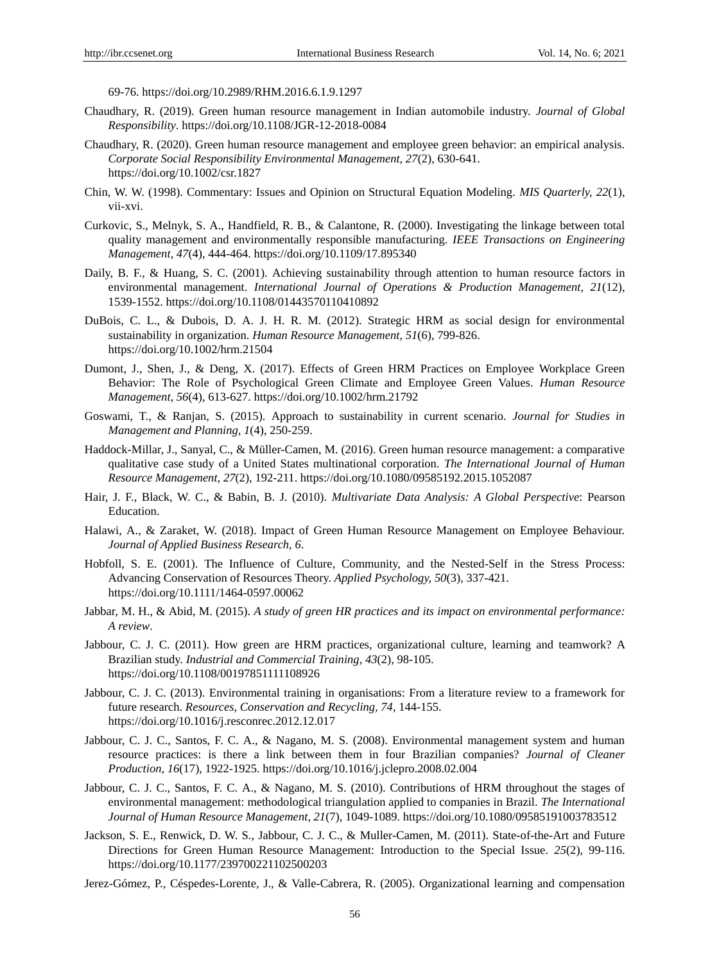69-76. <https://doi.org/10.2989/RHM.2016.6.1.9.1297>

- Chaudhary, R. (2019). Green human resource management in Indian automobile industry. *Journal of Global Responsibility*. https://doi.org/10.1108/JGR-12-2018-0084
- Chaudhary, R. (2020). Green human resource management and employee green behavior: an empirical analysis. *Corporate Social Responsibility Environmental Management, 27*(2), 630-641. <https://doi.org/10.1002/csr.1827>
- Chin, W. W. (1998). Commentary: Issues and Opinion on Structural Equation Modeling. *MIS Quarterly, 22*(1), vii-xvi.
- Curkovic, S., Melnyk, S. A., Handfield, R. B., & Calantone, R. (2000). Investigating the linkage between total quality management and environmentally responsible manufacturing. *IEEE Transactions on Engineering Management, 47*(4), 444-464. <https://doi.org/10.1109/17.895340>
- Daily, B. F., & Huang, S. C. (2001). Achieving sustainability through attention to human resource factors in environmental management. *International Journal of Operations & Production Management, 21*(12), 1539-1552. <https://doi.org/10.1108/01443570110410892>
- DuBois, C. L., & Dubois, D. A. J. H. R. M. (2012). Strategic HRM as social design for environmental sustainability in organization. *Human Resource Management, 51*(6), 799-826. <https://doi.org/10.1002/hrm.21504>
- Dumont, J., Shen, J., & Deng, X. (2017). Effects of Green HRM Practices on Employee Workplace Green Behavior: The Role of Psychological Green Climate and Employee Green Values. *Human Resource Management, 56*(4), 613-627. <https://doi.org/10.1002/hrm.21792>
- Goswami, T., & Ranjan, S. (2015). Approach to sustainability in current scenario. *Journal for Studies in Management and Planning, 1*(4), 250-259.
- Haddock-Millar, J., Sanyal, C., & Müller-Camen, M. (2016). Green human resource management: a comparative qualitative case study of a United States multinational corporation. *The International Journal of Human Resource Management, 27*(2), 192-211. <https://doi.org/10.1080/09585192.2015.1052087>
- Hair, J. F., Black, W. C., & Babin, B. J. (2010). *Multivariate Data Analysis: A Global Perspective*: Pearson Education.
- Halawi, A., & Zaraket, W. (2018). Impact of Green Human Resource Management on Employee Behaviour. *Journal of Applied Business Research, 6*.
- Hobfoll, S. E. (2001). The Influence of Culture, Community, and the Nested-Self in the Stress Process: Advancing Conservation of Resources Theory. *Applied Psychology, 50*(3), 337-421. <https://doi.org/10.1111/1464-0597.00062>
- Jabbar, M. H., & Abid, M. (2015). *A study of green HR practices and its impact on environmental performance: A review*.
- Jabbour, C. J. C. (2011). How green are HRM practices, organizational culture, learning and teamwork? A Brazilian study. *Industrial and Commercial Training, 43*(2), 98-105. <https://doi.org/10.1108/00197851111108926>
- Jabbour, C. J. C. (2013). Environmental training in organisations: From a literature review to a framework for future research. *Resources, Conservation and Recycling, 74*, 144-155. <https://doi.org/10.1016/j.resconrec.2012.12.017>
- Jabbour, C. J. C., Santos, F. C. A., & Nagano, M. S. (2008). Environmental management system and human resource practices: is there a link between them in four Brazilian companies? *Journal of Cleaner Production, 16*(17), 1922-1925. https://doi.org/10.1016/j.jclepro.2008.02.004
- Jabbour, C. J. C., Santos, F. C. A., & Nagano, M. S. (2010). Contributions of HRM throughout the stages of environmental management: methodological triangulation applied to companies in Brazil. *The International Journal of Human Resource Management, 21*(7), 1049-1089. <https://doi.org/10.1080/09585191003783512>
- Jackson, S. E., Renwick, D. W. S., Jabbour, C. J. C., & Muller-Camen, M. (2011). State-of-the-Art and Future Directions for Green Human Resource Management: Introduction to the Special Issue. *25*(2), 99-116. <https://doi.org/10.1177/239700221102500203>
- Jerez-Gómez, P., Céspedes-Lorente, J., & Valle-Cabrera, R. (2005). Organizational learning and compensation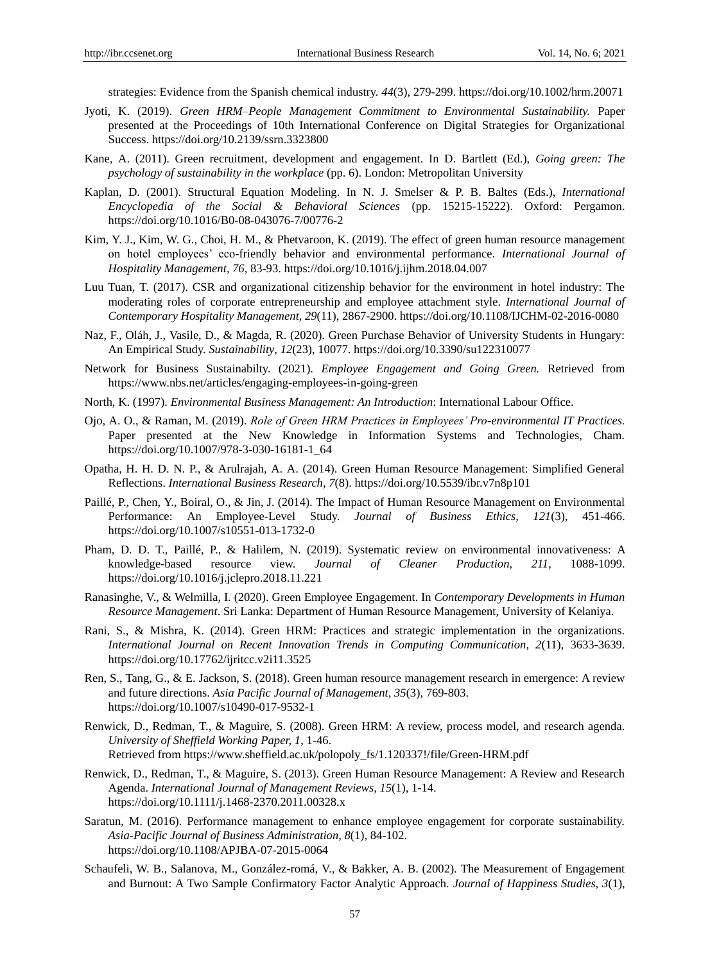strategies: Evidence from the Spanish chemical industry. *44*(3), 279-299. <https://doi.org/10.1002/hrm.20071>

- Jyoti, K. (2019). *Green HRM–People Management Commitment to Environmental Sustainability.* Paper presented at the Proceedings of 10th International Conference on Digital Strategies for Organizational Success. https://doi.org/10.2139/ssrn.3323800
- Kane, A. (2011). Green recruitment, development and engagement. In D. Bartlett (Ed.), *Going green: The psychology of sustainability in the workplace* (pp. 6). London: Metropolitan University
- Kaplan, D. (2001). Structural Equation Modeling. In N. J. Smelser & P. B. Baltes (Eds.), *International Encyclopedia of the Social & Behavioral Sciences* (pp. 15215-15222). Oxford: Pergamon. https://doi.org/10.1016/B0-08-043076-7/00776-2
- Kim, Y. J., Kim, W. G., Choi, H. M., & Phetvaroon, K. (2019). The effect of green human resource management on hotel employees' eco-friendly behavior and environmental performance. *International Journal of Hospitality Management, 76*, 83-93. <https://doi.org/10.1016/j.ijhm.2018.04.007>
- Luu Tuan, T. (2017). CSR and organizational citizenship behavior for the environment in hotel industry: The moderating roles of corporate entrepreneurship and employee attachment style. *International Journal of Contemporary Hospitality Management, 29*(11), 2867-2900. <https://doi.org/10.1108/IJCHM-02-2016-0080>
- Naz, F., Oláh, J., Vasile, D., & Magda, R. (2020). Green Purchase Behavior of University Students in Hungary: An Empirical Study. *Sustainability, 12*(23), 10077. https://doi.org/10.3390/su122310077
- Network for Business Sustainabilty. (2021). *Employee Engagement and Going Green.* Retrieved from <https://www.nbs.net/articles/engaging-employees-in-going-green>
- North, K. (1997). *Environmental Business Management: An Introduction*: International Labour Office.
- Ojo, A. O., & Raman, M. (2019). *Role of Green HRM Practices in Employees' Pro-environmental IT Practices.* Paper presented at the New Knowledge in Information Systems and Technologies, Cham. https://doi.org/10.1007/978-3-030-16181-1\_64
- Opatha, H. H. D. N. P., & Arulrajah, A. A. (2014). Green Human Resource Management: Simplified General Reflections. *International Business Research, 7*(8). <https://doi.org/10.5539/ibr.v7n8p101>
- Paillé, P., Chen, Y., Boiral, O., & Jin, J. (2014). The Impact of Human Resource Management on Environmental Performance: An Employee-Level Study. *Journal of Business Ethics, 121*(3), 451-466. <https://doi.org/10.1007/s10551-013-1732-0>
- Pham, D. D. T., Paillé, P., & Halilem, N. (2019). Systematic review on environmental innovativeness: A knowledge-based resource view. *Journal of Cleaner Production, 211*, 1088-1099. <https://doi.org/10.1016/j.jclepro.2018.11.221>
- Ranasinghe, V., & Welmilla, I. (2020). Green Employee Engagement. In *Contemporary Developments in Human Resource Management*. Sri Lanka: Department of Human Resource Management, University of Kelaniya.
- Rani, S., & Mishra, K. (2014). Green HRM: Practices and strategic implementation in the organizations. *International Journal on Recent Innovation Trends in Computing Communication, 2*(11), 3633-3639. <https://doi.org/10.17762/ijritcc.v2i11.3525>
- Ren, S., Tang, G., & E. Jackson, S. (2018). Green human resource management research in emergence: A review and future directions. *Asia Pacific Journal of Management, 35*(3), 769-803. <https://doi.org/10.1007/s10490-017-9532-1>
- Renwick, D., Redman, T., & Maguire, S. (2008). Green HRM: A review, process model, and research agenda. *University of Sheffield Working Paper, 1*, 1-46. Retrieved from [https://www.sheffield.ac.uk/polopoly\\_fs/1.120337!/file/Green-HRM.pdf](https://www.sheffield.ac.uk/polopoly_fs/1.120337!/file/Green-HRM.pdf)
- Renwick, D., Redman, T., & Maguire, S. (2013). Green Human Resource Management: A Review and Research Agenda. *International Journal of Management Reviews, 15*(1), 1-14. <https://doi.org/10.1111/j.1468-2370.2011.00328.x>
- Saratun, M. (2016). Performance management to enhance employee engagement for corporate sustainability. *Asia-Pacific Journal of Business Administration, 8*(1), 84-102. <https://doi.org/10.1108/APJBA-07-2015-0064>
- Schaufeli, W. B., Salanova, M., González-romá, V., & Bakker, A. B. (2002). The Measurement of Engagement and Burnout: A Two Sample Confirmatory Factor Analytic Approach. *Journal of Happiness Studies, 3*(1),